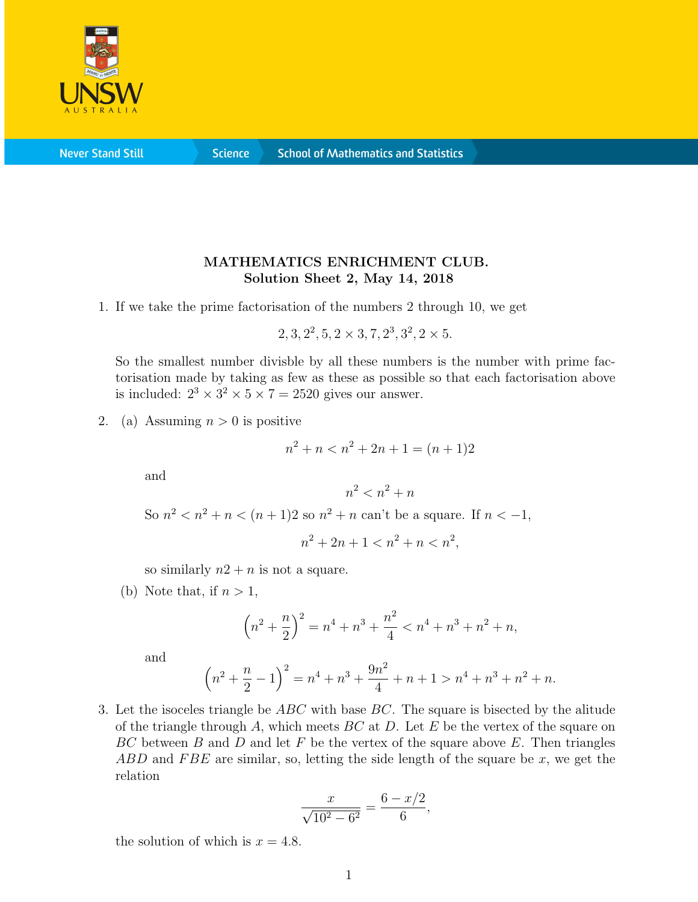

**Never Stand Still** 

**Science** 

## MATHEMATICS ENRICHMENT CLUB. Solution Sheet 2, May 14, 2018

1. If we take the prime factorisation of the numbers 2 through 10, we get

 $2, 3, 2^2, 5, 2 \times 3, 7, 2^3, 3^2, 2 \times 5.$ 

So the smallest number divisble by all these numbers is the number with prime factorisation made by taking as few as these as possible so that each factorisation above is included:  $2^3 \times 3^2 \times 5 \times 7 = 2520$  gives our answer.

2. (a) Assuming  $n > 0$  is positive

$$
n^2 + n < n^2 + 2n + 1 = (n+1)2
$$

and

$$
n^2 < n^2 + n
$$
\nSo  $n^2 < n^2 + n < (n+1)2$  so  $n^2 + n$  can't be a square. If  $n < -1$ ,

$$
n^2 + 2n + 1 < n^2 + n < n^2
$$

so similarly  $n2 + n$  is not a square.

(b) Note that, if  $n > 1$ ,

$$
\left(n^2 + \frac{n}{2}\right)^2 = n^4 + n^3 + \frac{n^2}{4} < n^4 + n^3 + n^2 + n,
$$

and

$$
\left(n^2 + \frac{n}{2} - 1\right)^2 = n^4 + n^3 + \frac{9n^2}{4} + n + 1 > n^4 + n^3 + n^2 + n.
$$

3. Let the isoceles triangle be  $ABC$  with base  $BC$ . The square is bisected by the alitude of the triangle through A, which meets  $BC$  at D. Let E be the vertex of the square on  $BC$  between B and D and let F be the vertex of the square above E. Then triangles ABD and FBE are similar, so, letting the side length of the square be  $x$ , we get the relation

$$
\frac{x}{\sqrt{10^2 - 6^2}} = \frac{6 - x/2}{6},
$$

the solution of which is  $x = 4.8$ .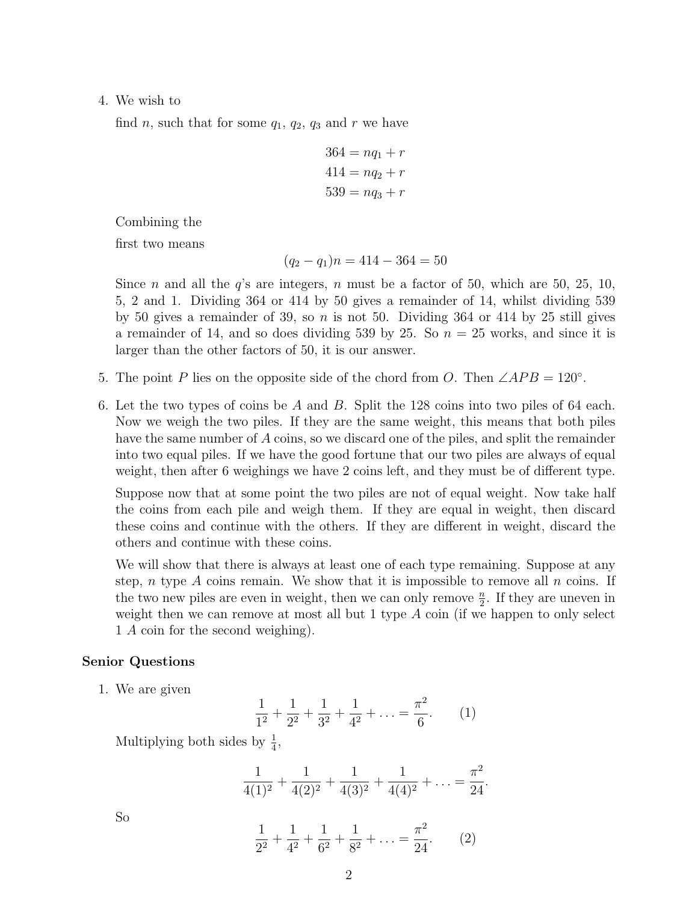## 4. We wish to

find n, such that for some  $q_1, q_2, q_3$  and r we have

$$
364 = nq1 + r
$$

$$
414 = nq2 + r
$$

$$
539 = nq3 + r
$$

Combining the

first two means

$$
(q_2 - q_1)n = 414 - 364 = 50
$$

Since *n* and all the  $q$ 's are integers, *n* must be a factor of 50, which are 50, 25, 10, 5, 2 and 1. Dividing 364 or 414 by 50 gives a remainder of 14, whilst dividing 539 by 50 gives a remainder of 39, so  $n$  is not 50. Dividing 364 or 414 by 25 still gives a remainder of 14, and so does dividing 539 by 25. So  $n = 25$  works, and since it is larger than the other factors of 50, it is our answer.

- 5. The point P lies on the opposite side of the chord from O. Then  $\angle APB = 120^\circ$ .
- 6. Let the two types of coins be A and B. Split the 128 coins into two piles of 64 each. Now we weigh the two piles. If they are the same weight, this means that both piles have the same number of A coins, so we discard one of the piles, and split the remainder into two equal piles. If we have the good fortune that our two piles are always of equal weight, then after 6 weighings we have 2 coins left, and they must be of different type.

Suppose now that at some point the two piles are not of equal weight. Now take half the coins from each pile and weigh them. If they are equal in weight, then discard these coins and continue with the others. If they are different in weight, discard the others and continue with these coins.

We will show that there is always at least one of each type remaining. Suppose at any step, n type A coins remain. We show that it is impossible to remove all  $n$  coins. If the two new piles are even in weight, then we can only remove  $\frac{n}{2}$ . If they are uneven in weight then we can remove at most all but 1 type  $A$  coin (if we happen to only select 1 A coin for the second weighing).

## Senior Questions

1. We are given

$$
\frac{1}{1^2} + \frac{1}{2^2} + \frac{1}{3^2} + \frac{1}{4^2} + \dots = \frac{\pi^2}{6}.
$$
 (1)

Multiplying both sides by  $\frac{1}{4}$ ,

$$
\frac{1}{4(1)^2} + \frac{1}{4(2)^2} + \frac{1}{4(3)^2} + \frac{1}{4(4)^2} + \ldots = \frac{\pi^2}{24}
$$

.

So

$$
\frac{1}{2^2} + \frac{1}{4^2} + \frac{1}{6^2} + \frac{1}{8^2} + \dots = \frac{\pi^2}{24}.
$$
 (2)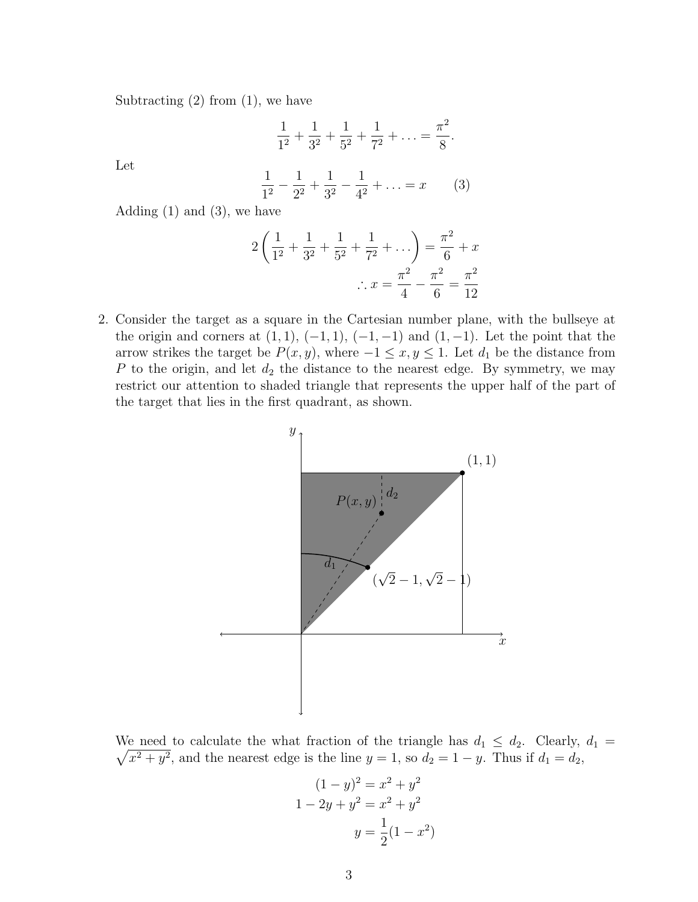Subtracting  $(2)$  from  $(1)$ , we have

$$
\frac{1}{1^2} + \frac{1}{3^2} + \frac{1}{5^2} + \frac{1}{7^2} + \ldots = \frac{\pi^2}{8}.
$$

Let

$$
\frac{1}{1^2} - \frac{1}{2^2} + \frac{1}{3^2} - \frac{1}{4^2} + \dots = x \tag{3}
$$

Adding  $(1)$  and  $(3)$ , we have

$$
2\left(\frac{1}{1^2} + \frac{1}{3^2} + \frac{1}{5^2} + \frac{1}{7^2} + \dots\right) = \frac{\pi^2}{6} + x
$$

$$
\therefore x = \frac{\pi^2}{4} - \frac{\pi^2}{6} = \frac{\pi^2}{12}
$$

2. Consider the target as a square in the Cartesian number plane, with the bullseye at the origin and corners at  $(1, 1)$ ,  $(-1, 1)$ ,  $(-1, -1)$  and  $(1, -1)$ . Let the point that the arrow strikes the target be  $P(x, y)$ , where  $-1 \le x, y \le 1$ . Let  $d_1$  be the distance from P to the origin, and let  $d_2$  the distance to the nearest edge. By symmetry, we may restrict our attention to shaded triangle that represents the upper half of the part of the target that lies in the first quadrant, as shown.



 $\sqrt{x^2 + y^2}$ , and the nearest edge is the line  $y = 1$ , so  $d_2 = 1 - y$ . Thus if  $d_1 = d_2$ , We need to calculate the what fraction of the triangle has  $d_1 \leq d_2$ . Clearly,  $d_1 =$ 

$$
(1 - y)2 = x2 + y2
$$
  
1 - 2y + y<sup>2</sup> = x<sup>2</sup> + y<sup>2</sup>  

$$
y = \frac{1}{2}(1 - x2)
$$